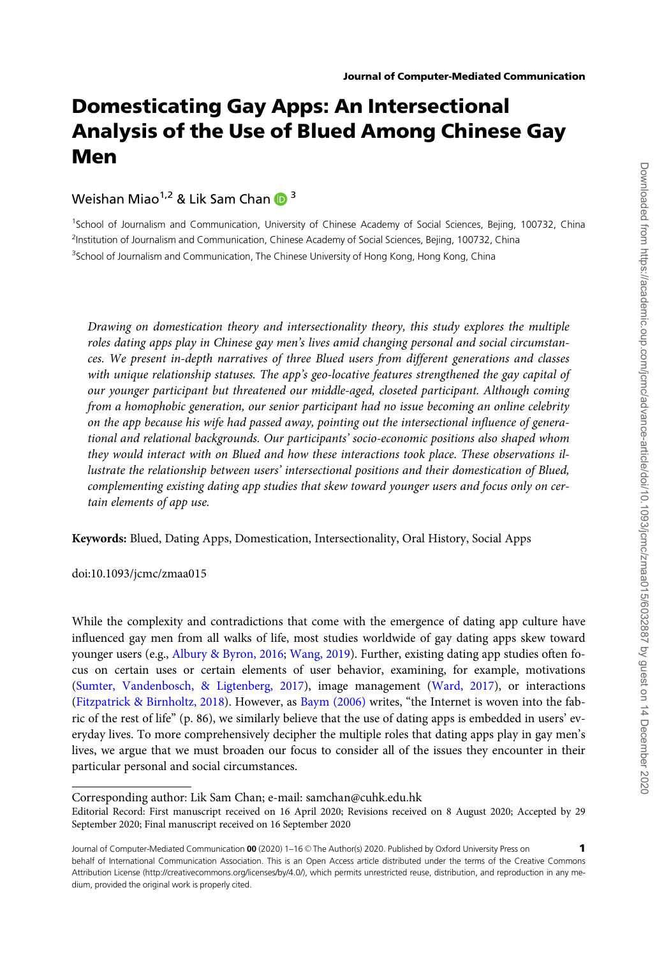# Domesticating Gay Apps: An Intersectional Analysis of the Use of Blued Among Chinese Gay Men

Weishan Miao<sup>1,2</sup> & Lik Sam Chan  $\mathbb{D}^3$ 

<sup>1</sup>School of Journalism and Communication, University of Chinese Academy of Social Sciences, Bejing, 100732, China <sup>2</sup>Institution of Journalism and Communication, Chinese Academy of Social Sciences, Bejing, 100732, China <sup>3</sup>School of Journalism and Communication, The Chinese University of Hong Kong, Hong Kong, China

Drawing on domestication theory and intersectionality theory, this study explores the multiple roles dating apps play in Chinese gay men's lives amid changing personal and social circumstances. We present in-depth narratives of three Blued users from different generations and classes with unique relationship statuses. The app's geo-locative features strengthened the gay capital of our younger participant but threatened our middle-aged, closeted participant. Although coming from a homophobic generation, our senior participant had no issue becoming an online celebrity on the app because his wife had passed away, pointing out the intersectional influence of generational and relational backgrounds. Our participants' socio-economic positions also shaped whom they would interact with on Blued and how these interactions took place. These observations illustrate the relationship between users' intersectional positions and their domestication of Blued, complementing existing dating app studies that skew toward younger users and focus only on certain elements of app use.

Keywords: Blued, Dating Apps, Domestication, Intersectionality, Oral History, Social Apps

doi:10.1093/jcmc/zmaa015

While the complexity and contradictions that come with the emergence of dating app culture have influenced gay men from all walks of life, most studies worldwide of gay dating apps skew toward younger users (e.g., [Albury](#page-13-0) [& Byron, 2016](#page-13-0); [Wang, 2019\)](#page-15-0). Further, existing dating app studies often focus on certain uses or certain elements of user behavior, examining, for example, motivations [\(Sumter, Vandenbosch,](#page-15-0) & [Ligtenberg, 2017\)](#page-15-0), image management ([Ward, 2017\)](#page-15-0), or interactions [\(Fitzpatrick & Birnholtz, 2018\)](#page-13-0). However, as [Baym \(2006\)](#page-13-0) writes, "the Internet is woven into the fabric of the rest of life" (p. 86), we similarly believe that the use of dating apps is embedded in users' everyday lives. To more comprehensively decipher the multiple roles that dating apps play in gay men's lives, we argue that we must broaden our focus to consider all of the issues they encounter in their particular personal and social circumstances.

Corresponding author: Lik Sam Chan; e-mail: samchan@cuhk.edu.hk

Editorial Record: First manuscript received on 16 April 2020; Revisions received on 8 August 2020; Accepted by 29 September 2020; Final manuscript received on 16 September 2020

Journal of Computer-Mediated Communication 00 (2020) 1-16 @ The Author(s) 2020. Published by Oxford University Press on behalf of International Communication Association. This is an Open Access article distributed under the terms of the Creative Commons Attribution License (http://creativecommons.org/licenses/by/4.0/), which permits unrestricted reuse, distribution, and reproduction in any medium, provided the original work is properly cited. 1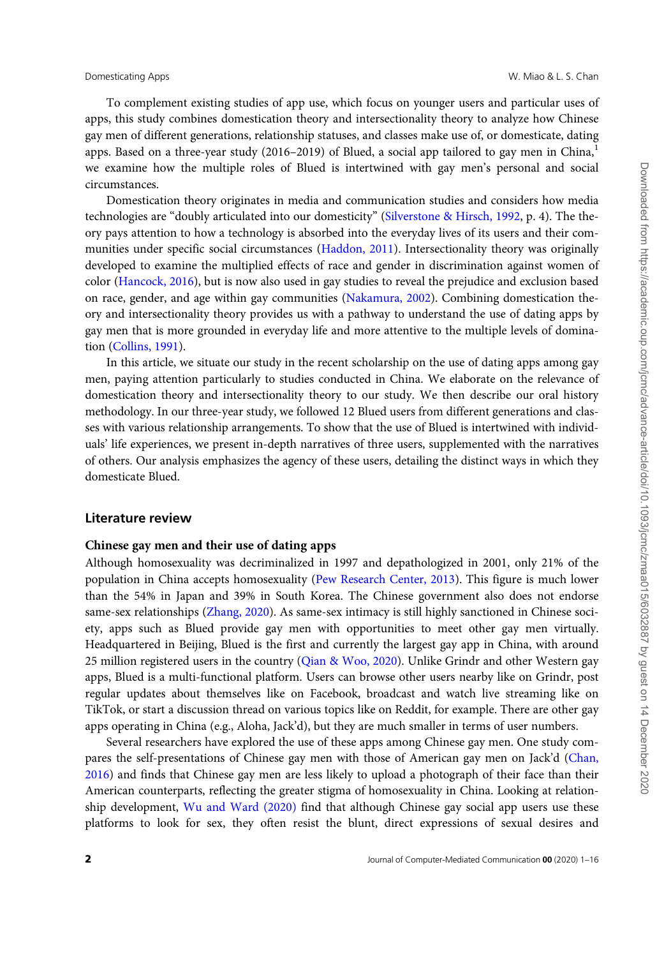To complement existing studies of app use, which focus on younger users and particular uses of apps, this study combines domestication theory and intersectionality theory to analyze how Chinese gay men of different generations, relationship statuses, and classes make use of, or domesticate, dating apps. Based on a three-year study (2016–2019) of Blued, a social app tailored to gay men in China, $^{1}$ we examine how the multiple roles of Blued is intertwined with gay men's personal and social circumstances.

Domestication theory originates in media and communication studies and considers how media technologies are "doubly articulated into our domesticity" ([Silverstone & Hirsch, 1992](#page-14-0), p. 4). The theory pays attention to how a technology is absorbed into the everyday lives of its users and their com-munities under specific social circumstances ([Haddon, 2011](#page-13-0)). Intersectionality theory was originally developed to examine the multiplied effects of race and gender in discrimination against women of color [\(Hancock, 2016\)](#page-13-0), but is now also used in gay studies to reveal the prejudice and exclusion based on race, gender, and age within gay communities ([Nakamura, 2002](#page-14-0)). Combining domestication theory and intersectionality theory provides us with a pathway to understand the use of dating apps by gay men that is more grounded in everyday life and more attentive to the multiple levels of domination ([Collins, 1991](#page-13-0)).

In this article, we situate our study in the recent scholarship on the use of dating apps among gay men, paying attention particularly to studies conducted in China. We elaborate on the relevance of domestication theory and intersectionality theory to our study. We then describe our oral history methodology. In our three-year study, we followed 12 Blued users from different generations and classes with various relationship arrangements. To show that the use of Blued is intertwined with individuals' life experiences, we present in-depth narratives of three users, supplemented with the narratives of others. Our analysis emphasizes the agency of these users, detailing the distinct ways in which they domesticate Blued.

# Literature review

### Chinese gay men and their use of dating apps

Although homosexuality was decriminalized in 1997 and depathologized in 2001, only 21% of the population in China accepts homosexuality [\(Pew Research Center, 2013](#page-14-0)). This figure is much lower than the 54% in Japan and 39% in South Korea. The Chinese government also does not endorse same-sex relationships [\(Zhang, 2020\)](#page-15-0). As same-sex intimacy is still highly sanctioned in Chinese society, apps such as Blued provide gay men with opportunities to meet other gay men virtually. Headquartered in Beijing, Blued is the first and currently the largest gay app in China, with around 25 million registered users in the country ([Qian](#page-14-0) & [Woo, 2020\)](#page-14-0). Unlike Grindr and other Western gay apps, Blued is a multi-functional platform. Users can browse other users nearby like on Grindr, post regular updates about themselves like on Facebook, broadcast and watch live streaming like on TikTok, or start a discussion thread on various topics like on Reddit, for example. There are other gay apps operating in China (e.g., Aloha, Jack'd), but they are much smaller in terms of user numbers.

Several researchers have explored the use of these apps among Chinese gay men. One study compares the self-presentations of Chinese gay men with those of American gay men on Jack'd ([Chan,](#page-13-0) [2016](#page-13-0)) and finds that Chinese gay men are less likely to upload a photograph of their face than their American counterparts, reflecting the greater stigma of homosexuality in China. Looking at relationship development, [Wu and Ward \(2020\)](#page-15-0) find that although Chinese gay social app users use these platforms to look for sex, they often resist the blunt, direct expressions of sexual desires and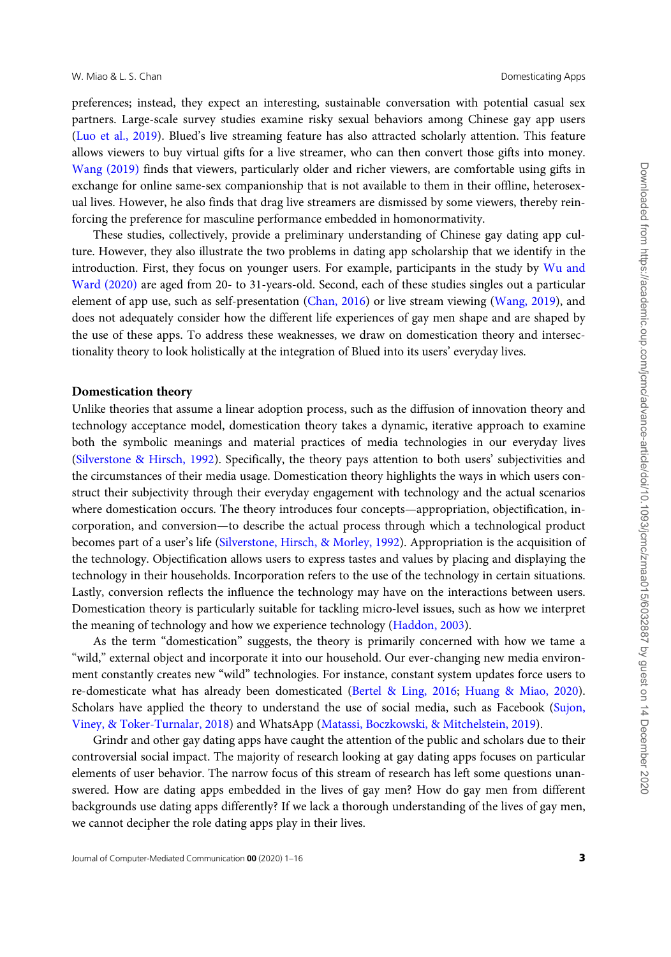preferences; instead, they expect an interesting, sustainable conversation with potential casual sex partners. Large-scale survey studies examine risky sexual behaviors among Chinese gay app users [\(Luo et al., 2019](#page-14-0)). Blued's live streaming feature has also attracted scholarly attention. This feature allows viewers to buy virtual gifts for a live streamer, who can then convert those gifts into money. [Wang \(2019\)](#page-15-0) finds that viewers, particularly older and richer viewers, are comfortable using gifts in exchange for online same-sex companionship that is not available to them in their offline, heterosexual lives. However, he also finds that drag live streamers are dismissed by some viewers, thereby reinforcing the preference for masculine performance embedded in homonormativity.

These studies, collectively, provide a preliminary understanding of Chinese gay dating app culture. However, they also illustrate the two problems in dating app scholarship that we identify in the introduction. First, they focus on younger users. For example, participants in the study by [Wu and](#page-15-0) [Ward \(2020\)](#page-15-0) are aged from 20- to 31-years-old. Second, each of these studies singles out a particular element of app use, such as self-presentation [\(Chan, 2016](#page-13-0)) or live stream viewing [\(Wang, 2019](#page-15-0)), and does not adequately consider how the different life experiences of gay men shape and are shaped by the use of these apps. To address these weaknesses, we draw on domestication theory and intersectionality theory to look holistically at the integration of Blued into its users' everyday lives.

### Domestication theory

Unlike theories that assume a linear adoption process, such as the diffusion of innovation theory and technology acceptance model, domestication theory takes a dynamic, iterative approach to examine both the symbolic meanings and material practices of media technologies in our everyday lives [\(Silverstone & Hirsch, 1992](#page-14-0)). Specifically, the theory pays attention to both users' subjectivities and the circumstances of their media usage. Domestication theory highlights the ways in which users construct their subjectivity through their everyday engagement with technology and the actual scenarios where domestication occurs. The theory introduces four concepts—appropriation, objectification, incorporation, and conversion—to describe the actual process through which a technological product becomes part of a user's life [\(Silverstone, Hirsch,](#page-14-0) & [Morley, 1992\)](#page-14-0). Appropriation is the acquisition of the technology. Objectification allows users to express tastes and values by placing and displaying the technology in their households. Incorporation refers to the use of the technology in certain situations. Lastly, conversion reflects the influence the technology may have on the interactions between users. Domestication theory is particularly suitable for tackling micro-level issues, such as how we interpret the meaning of technology and how we experience technology ([Haddon, 2003\)](#page-13-0).

As the term "domestication" suggests, the theory is primarily concerned with how we tame a "wild," external object and incorporate it into our household. Our ever-changing new media environment constantly creates new "wild" technologies. For instance, constant system updates force users to re-domesticate what has already been domesticated ([Bertel](#page-13-0) [& Ling, 2016;](#page-13-0) [Huang](#page-14-0) & [Miao, 2020](#page-14-0)). Scholars have applied the theory to understand the use of social media, such as Facebook ([Sujon,](#page-15-0) [Viney,](#page-15-0) & [Toker-Turnalar, 2018\)](#page-15-0) and WhatsApp ([Matassi, Boczkowski,](#page-14-0) [& Mitchelstein, 2019](#page-14-0)).

Grindr and other gay dating apps have caught the attention of the public and scholars due to their controversial social impact. The majority of research looking at gay dating apps focuses on particular elements of user behavior. The narrow focus of this stream of research has left some questions unanswered. How are dating apps embedded in the lives of gay men? How do gay men from different backgrounds use dating apps differently? If we lack a thorough understanding of the lives of gay men, we cannot decipher the role dating apps play in their lives.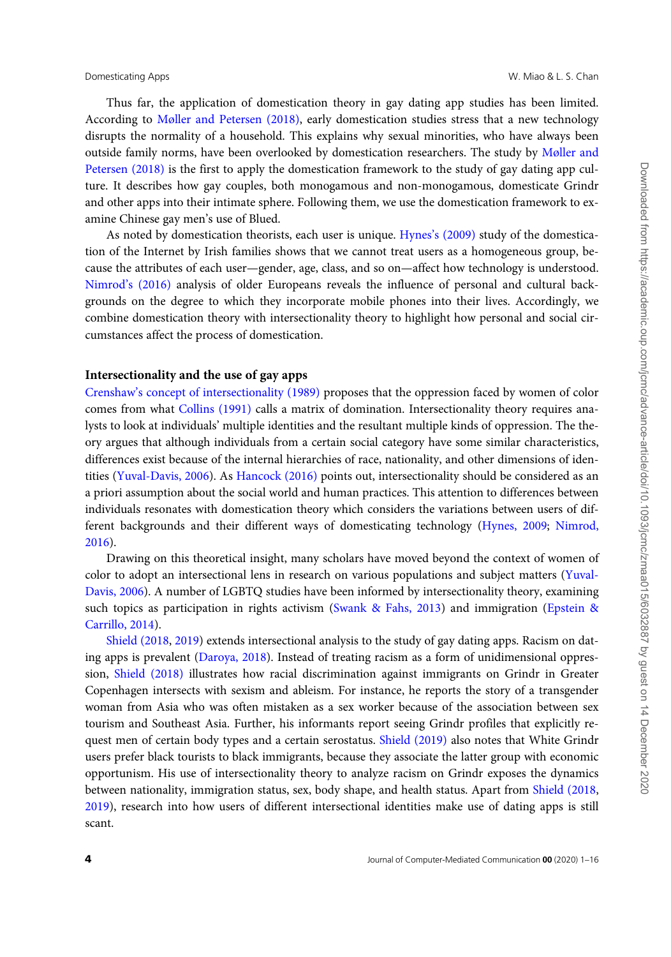Thus far, the application of domestication theory in gay dating app studies has been limited. According to [Møller and Petersen \(2018\)](#page-14-0), early domestication studies stress that a new technology disrupts the normality of a household. This explains why sexual minorities, who have always been outside family norms, have been overlooked by domestication researchers. The study by [Møller and](#page-14-0) [Petersen \(2018\)](#page-14-0) is the first to apply the domestication framework to the study of gay dating app culture. It describes how gay couples, both monogamous and non-monogamous, domesticate Grindr and other apps into their intimate sphere. Following them, we use the domestication framework to examine Chinese gay men's use of Blued.

As noted by domestication theorists, each user is unique. [Hynes's \(2009\)](#page-13-0) study of the domestication of the Internet by Irish families shows that we cannot treat users as a homogeneous group, because the attributes of each user—gender, age, class, and so on—affect how technology is understood. [Nimrod's \(2016\)](#page-14-0) analysis of older Europeans reveals the influence of personal and cultural backgrounds on the degree to which they incorporate mobile phones into their lives. Accordingly, we combine domestication theory with intersectionality theory to highlight how personal and social circumstances affect the process of domestication.

# Intersectionality and the use of gay apps

[Crenshaw's concept of intersectionality \(1989\)](#page-13-0) proposes that the oppression faced by women of color comes from what [Collins \(1991\)](#page-13-0) calls a matrix of domination. Intersectionality theory requires analysts to look at individuals' multiple identities and the resultant multiple kinds of oppression. The theory argues that although individuals from a certain social category have some similar characteristics, differences exist because of the internal hierarchies of race, nationality, and other dimensions of identities ([Yuval-Davis, 2006](#page-15-0)). As [Hancock \(2016\)](#page-13-0) points out, intersectionality should be considered as an a priori assumption about the social world and human practices. This attention to differences between individuals resonates with domestication theory which considers the variations between users of different backgrounds and their different ways of domesticating technology ([Hynes, 2009;](#page-13-0) [Nimrod,](#page-14-0) [2016](#page-14-0)).

Drawing on this theoretical insight, many scholars have moved beyond the context of women of color to adopt an intersectional lens in research on various populations and subject matters [\(Yuval-](#page-15-0)[Davis, 2006](#page-15-0)). A number of LGBTQ studies have been informed by intersectionality theory, examining such topics as participation in rights activism ([Swank & Fahs, 2013\)](#page-15-0) and immigration ([Epstein &](#page-13-0) [Carrillo, 2014](#page-13-0)).

[Shield \(2018](#page-14-0), [2019\)](#page-14-0) extends intersectional analysis to the study of gay dating apps. Racism on dating apps is prevalent [\(Daroya, 2018](#page-13-0)). Instead of treating racism as a form of unidimensional oppression, [Shield \(2018\)](#page-14-0) illustrates how racial discrimination against immigrants on Grindr in Greater Copenhagen intersects with sexism and ableism. For instance, he reports the story of a transgender woman from Asia who was often mistaken as a sex worker because of the association between sex tourism and Southeast Asia. Further, his informants report seeing Grindr profiles that explicitly re-quest men of certain body types and a certain serostatus. [Shield \(2019\)](#page-14-0) also notes that White Grindr users prefer black tourists to black immigrants, because they associate the latter group with economic opportunism. His use of intersectionality theory to analyze racism on Grindr exposes the dynamics between nationality, immigration status, sex, body shape, and health status. Apart from [Shield \(2018](#page-14-0), [2019](#page-14-0)), research into how users of different intersectional identities make use of dating apps is still scant.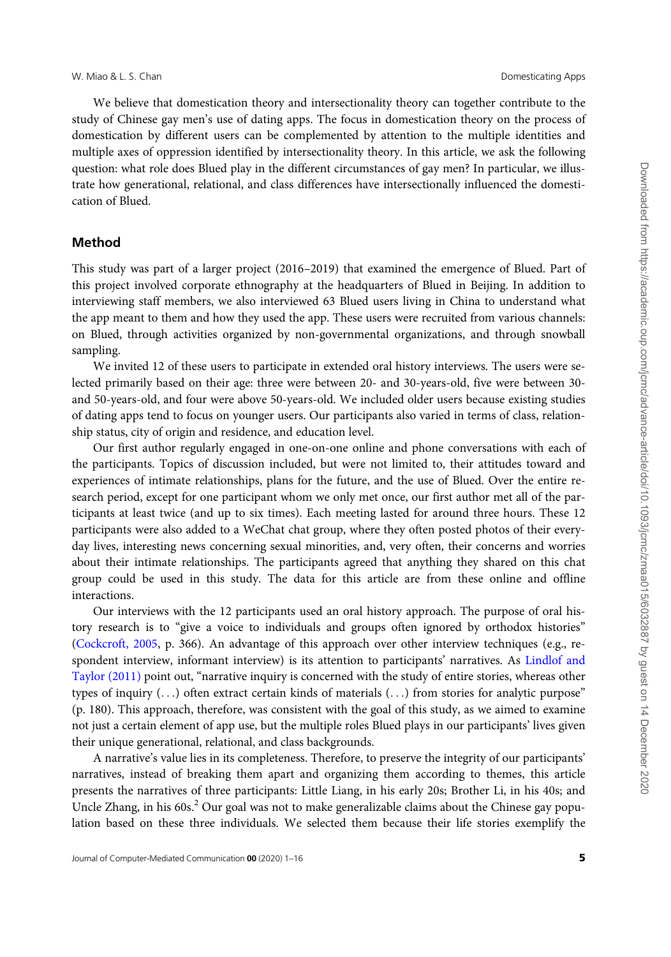### W. Miao & L. S. Chan Domesticating Apps

We believe that domestication theory and intersectionality theory can together contribute to the study of Chinese gay men's use of dating apps. The focus in domestication theory on the process of domestication by different users can be complemented by attention to the multiple identities and multiple axes of oppression identified by intersectionality theory. In this article, we ask the following question: what role does Blued play in the different circumstances of gay men? In particular, we illustrate how generational, relational, and class differences have intersectionally influenced the domestication of Blued.

### Method

This study was part of a larger project (2016–2019) that examined the emergence of Blued. Part of this project involved corporate ethnography at the headquarters of Blued in Beijing. In addition to interviewing staff members, we also interviewed 63 Blued users living in China to understand what the app meant to them and how they used the app. These users were recruited from various channels: on Blued, through activities organized by non-governmental organizations, and through snowball sampling.

We invited 12 of these users to participate in extended oral history interviews. The users were selected primarily based on their age: three were between 20- and 30-years-old, five were between 30 and 50-years-old, and four were above 50-years-old. We included older users because existing studies of dating apps tend to focus on younger users. Our participants also varied in terms of class, relationship status, city of origin and residence, and education level.

Our first author regularly engaged in one-on-one online and phone conversations with each of the participants. Topics of discussion included, but were not limited to, their attitudes toward and experiences of intimate relationships, plans for the future, and the use of Blued. Over the entire research period, except for one participant whom we only met once, our first author met all of the participants at least twice (and up to six times). Each meeting lasted for around three hours. These 12 participants were also added to a WeChat chat group, where they often posted photos of their everyday lives, interesting news concerning sexual minorities, and, very often, their concerns and worries about their intimate relationships. The participants agreed that anything they shared on this chat group could be used in this study. The data for this article are from these online and offline interactions.

Our interviews with the 12 participants used an oral history approach. The purpose of oral history research is to "give a voice to individuals and groups often ignored by orthodox histories" [\(Cockcroft, 2005,](#page-13-0) p. 366). An advantage of this approach over other interview techniques (e.g., respondent interview, informant interview) is its attention to participants' narratives. As [Lindlof and](#page-14-0) [Taylor \(2011\)](#page-14-0) point out, "narrative inquiry is concerned with the study of entire stories, whereas other types of inquiry (...) often extract certain kinds of materials (...) from stories for analytic purpose" (p. 180). This approach, therefore, was consistent with the goal of this study, as we aimed to examine not just a certain element of app use, but the multiple roles Blued plays in our participants' lives given their unique generational, relational, and class backgrounds.

A narrative's value lies in its completeness. Therefore, to preserve the integrity of our participants' narratives, instead of breaking them apart and organizing them according to themes, this article presents the narratives of three participants: Little Liang, in his early 20s; Brother Li, in his 40s; and Uncle Zhang, in his  $60s<sup>2</sup>$  Our goal was not to make generalizable claims about the Chinese gay population based on these three individuals. We selected them because their life stories exemplify the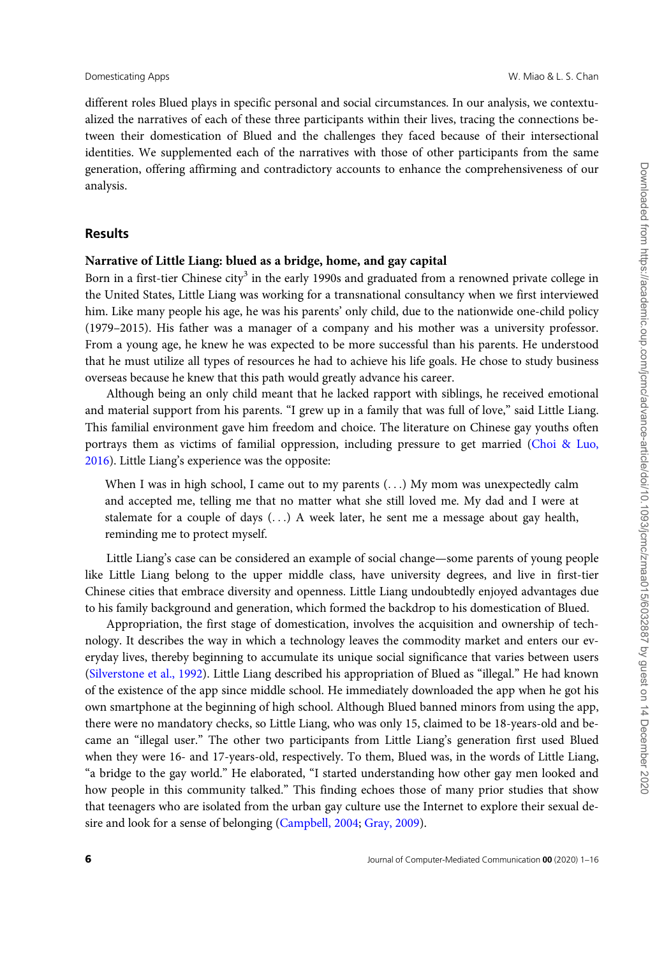different roles Blued plays in specific personal and social circumstances. In our analysis, we contextualized the narratives of each of these three participants within their lives, tracing the connections between their domestication of Blued and the challenges they faced because of their intersectional identities. We supplemented each of the narratives with those of other participants from the same generation, offering affirming and contradictory accounts to enhance the comprehensiveness of our analysis.

# Results

# Narrative of Little Liang: blued as a bridge, home, and gay capital

Born in a first-tier Chinese city<sup>3</sup> in the early 1990s and graduated from a renowned private college in the United States, Little Liang was working for a transnational consultancy when we first interviewed him. Like many people his age, he was his parents' only child, due to the nationwide one-child policy (1979–2015). His father was a manager of a company and his mother was a university professor. From a young age, he knew he was expected to be more successful than his parents. He understood that he must utilize all types of resources he had to achieve his life goals. He chose to study business overseas because he knew that this path would greatly advance his career.

Although being an only child meant that he lacked rapport with siblings, he received emotional and material support from his parents. "I grew up in a family that was full of love," said Little Liang. This familial environment gave him freedom and choice. The literature on Chinese gay youths often portrays them as victims of familial oppression, including pressure to get married ([Choi & Luo,](#page-13-0) [2016](#page-13-0)). Little Liang's experience was the opposite:

When I was in high school, I came out to my parents (...) My mom was unexpectedly calm and accepted me, telling me that no matter what she still loved me. My dad and I were at stalemate for a couple of days  $(...)$  A week later, he sent me a message about gay health, reminding me to protect myself.

Little Liang's case can be considered an example of social change—some parents of young people like Little Liang belong to the upper middle class, have university degrees, and live in first-tier Chinese cities that embrace diversity and openness. Little Liang undoubtedly enjoyed advantages due to his family background and generation, which formed the backdrop to his domestication of Blued.

Appropriation, the first stage of domestication, involves the acquisition and ownership of technology. It describes the way in which a technology leaves the commodity market and enters our everyday lives, thereby beginning to accumulate its unique social significance that varies between users [\(Silverstone et al., 1992](#page-14-0)). Little Liang described his appropriation of Blued as "illegal." He had known of the existence of the app since middle school. He immediately downloaded the app when he got his own smartphone at the beginning of high school. Although Blued banned minors from using the app, there were no mandatory checks, so Little Liang, who was only 15, claimed to be 18-years-old and became an "illegal user." The other two participants from Little Liang's generation first used Blued when they were 16- and 17-years-old, respectively. To them, Blued was, in the words of Little Liang, "a bridge to the gay world." He elaborated, "I started understanding how other gay men looked and how people in this community talked." This finding echoes those of many prior studies that show that teenagers who are isolated from the urban gay culture use the Internet to explore their sexual desire and look for a sense of belonging ([Campbell, 2004;](#page-13-0) [Gray, 2009\)](#page-13-0).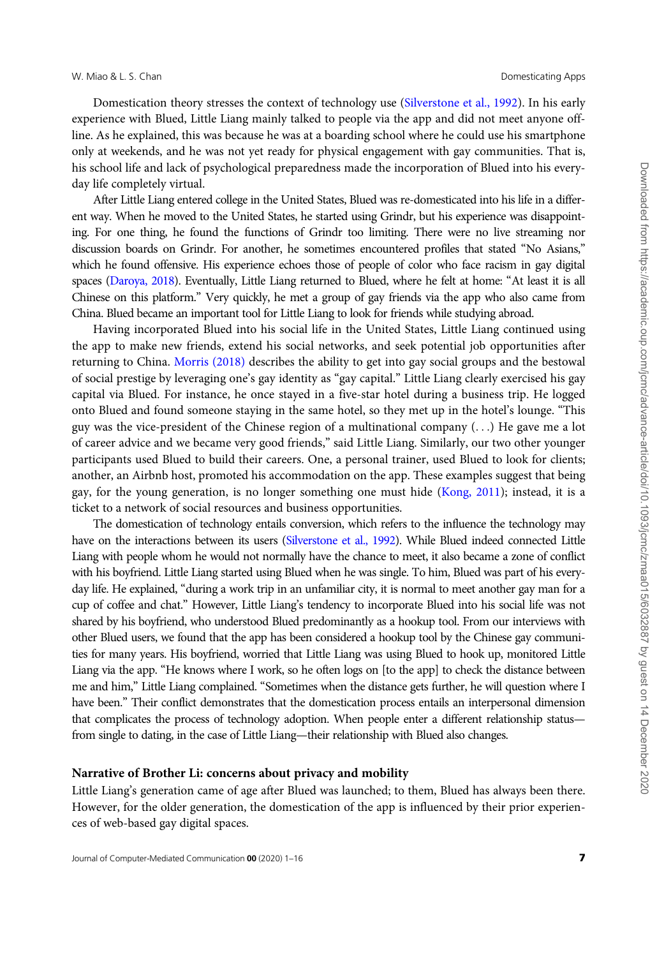Domestication theory stresses the context of technology use [\(Silverstone et al., 1992\)](#page-14-0). In his early experience with Blued, Little Liang mainly talked to people via the app and did not meet anyone offline. As he explained, this was because he was at a boarding school where he could use his smartphone only at weekends, and he was not yet ready for physical engagement with gay communities. That is, his school life and lack of psychological preparedness made the incorporation of Blued into his everyday life completely virtual.

After Little Liang entered college in the United States, Blued was re-domesticated into his life in a different way. When he moved to the United States, he started using Grindr, but his experience was disappointing. For one thing, he found the functions of Grindr too limiting. There were no live streaming nor discussion boards on Grindr. For another, he sometimes encountered profiles that stated "No Asians," which he found offensive. His experience echoes those of people of color who face racism in gay digital spaces ([Daroya, 2018](#page-13-0)). Eventually, Little Liang returned to Blued, where he felt at home: "At least it is all Chinese on this platform." Very quickly, he met a group of gay friends via the app who also came from China. Blued became an important tool for Little Liang to look for friends while studying abroad.

Having incorporated Blued into his social life in the United States, Little Liang continued using the app to make new friends, extend his social networks, and seek potential job opportunities after returning to China. [Morris \(2018\)](#page-14-0) describes the ability to get into gay social groups and the bestowal of social prestige by leveraging one's gay identity as "gay capital." Little Liang clearly exercised his gay capital via Blued. For instance, he once stayed in a five-star hotel during a business trip. He logged onto Blued and found someone staying in the same hotel, so they met up in the hotel's lounge. "This guy was the vice-president of the Chinese region of a multinational company (...) He gave me a lot of career advice and we became very good friends," said Little Liang. Similarly, our two other younger participants used Blued to build their careers. One, a personal trainer, used Blued to look for clients; another, an Airbnb host, promoted his accommodation on the app. These examples suggest that being gay, for the young generation, is no longer something one must hide [\(Kong, 2011\)](#page-14-0); instead, it is a ticket to a network of social resources and business opportunities.

The domestication of technology entails conversion, which refers to the influence the technology may have on the interactions between its users [\(Silverstone et al., 1992](#page-14-0)). While Blued indeed connected Little Liang with people whom he would not normally have the chance to meet, it also became a zone of conflict with his boyfriend. Little Liang started using Blued when he was single. To him, Blued was part of his everyday life. He explained, "during a work trip in an unfamiliar city, it is normal to meet another gay man for a cup of coffee and chat." However, Little Liang's tendency to incorporate Blued into his social life was not shared by his boyfriend, who understood Blued predominantly as a hookup tool. From our interviews with other Blued users, we found that the app has been considered a hookup tool by the Chinese gay communities for many years. His boyfriend, worried that Little Liang was using Blued to hook up, monitored Little Liang via the app. "He knows where I work, so he often logs on [to the app] to check the distance between me and him," Little Liang complained. "Sometimes when the distance gets further, he will question where I have been." Their conflict demonstrates that the domestication process entails an interpersonal dimension that complicates the process of technology adoption. When people enter a different relationship status from single to dating, in the case of Little Liang—their relationship with Blued also changes.

### Narrative of Brother Li: concerns about privacy and mobility

Little Liang's generation came of age after Blued was launched; to them, Blued has always been there. However, for the older generation, the domestication of the app is influenced by their prior experiences of web-based gay digital spaces.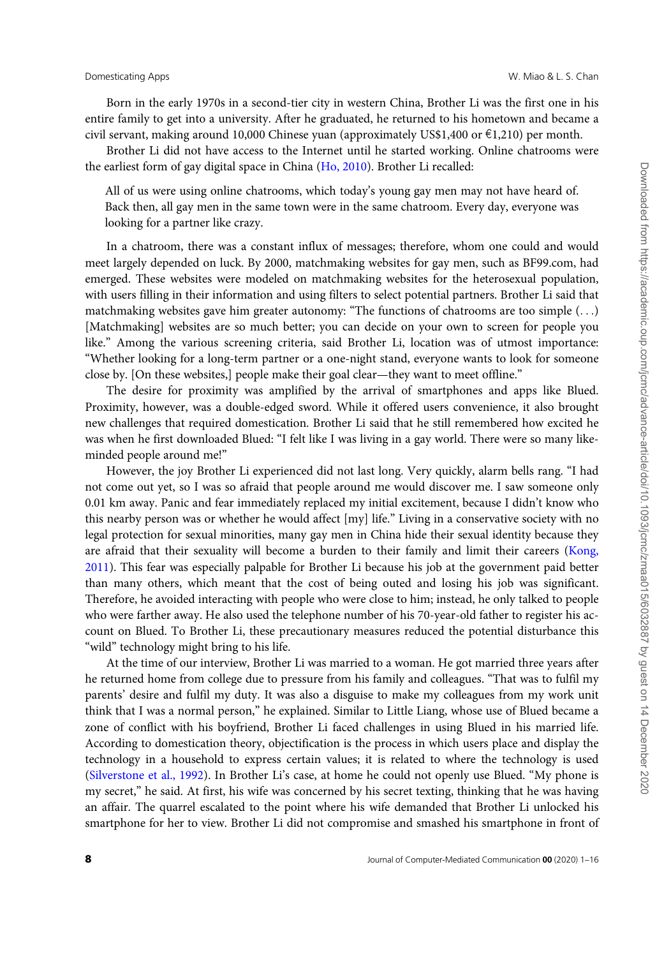Born in the early 1970s in a second-tier city in western China, Brother Li was the first one in his entire family to get into a university. After he graduated, he returned to his hometown and became a civil servant, making around 10,000 Chinese yuan (approximately US\$1,400 or  $\epsilon$ 1,210) per month.

Brother Li did not have access to the Internet until he started working. Online chatrooms were the earliest form of gay digital space in China [\(Ho, 2010](#page-13-0)). Brother Li recalled:

All of us were using online chatrooms, which today's young gay men may not have heard of. Back then, all gay men in the same town were in the same chatroom. Every day, everyone was looking for a partner like crazy.

In a chatroom, there was a constant influx of messages; therefore, whom one could and would meet largely depended on luck. By 2000, matchmaking websites for gay men, such as BF99.com, had emerged. These websites were modeled on matchmaking websites for the heterosexual population, with users filling in their information and using filters to select potential partners. Brother Li said that matchmaking websites gave him greater autonomy: "The functions of chatrooms are too simple (...) [Matchmaking] websites are so much better; you can decide on your own to screen for people you like." Among the various screening criteria, said Brother Li, location was of utmost importance: "Whether looking for a long-term partner or a one-night stand, everyone wants to look for someone close by. [On these websites,] people make their goal clear—they want to meet offline."

The desire for proximity was amplified by the arrival of smartphones and apps like Blued. Proximity, however, was a double-edged sword. While it offered users convenience, it also brought new challenges that required domestication. Brother Li said that he still remembered how excited he was when he first downloaded Blued: "I felt like I was living in a gay world. There were so many likeminded people around me!"

However, the joy Brother Li experienced did not last long. Very quickly, alarm bells rang. "I had not come out yet, so I was so afraid that people around me would discover me. I saw someone only 0.01 km away. Panic and fear immediately replaced my initial excitement, because I didn't know who this nearby person was or whether he would affect [my] life." Living in a conservative society with no legal protection for sexual minorities, many gay men in China hide their sexual identity because they are afraid that their sexuality will become a burden to their family and limit their careers ([Kong,](#page-14-0) [2011](#page-14-0)). This fear was especially palpable for Brother Li because his job at the government paid better than many others, which meant that the cost of being outed and losing his job was significant. Therefore, he avoided interacting with people who were close to him; instead, he only talked to people who were farther away. He also used the telephone number of his 70-year-old father to register his account on Blued. To Brother Li, these precautionary measures reduced the potential disturbance this "wild" technology might bring to his life.

At the time of our interview, Brother Li was married to a woman. He got married three years after he returned home from college due to pressure from his family and colleagues. "That was to fulfil my parents' desire and fulfil my duty. It was also a disguise to make my colleagues from my work unit think that I was a normal person," he explained. Similar to Little Liang, whose use of Blued became a zone of conflict with his boyfriend, Brother Li faced challenges in using Blued in his married life. According to domestication theory, objectification is the process in which users place and display the technology in a household to express certain values; it is related to where the technology is used [\(Silverstone et al., 1992](#page-14-0)). In Brother Li's case, at home he could not openly use Blued. "My phone is my secret," he said. At first, his wife was concerned by his secret texting, thinking that he was having an affair. The quarrel escalated to the point where his wife demanded that Brother Li unlocked his smartphone for her to view. Brother Li did not compromise and smashed his smartphone in front of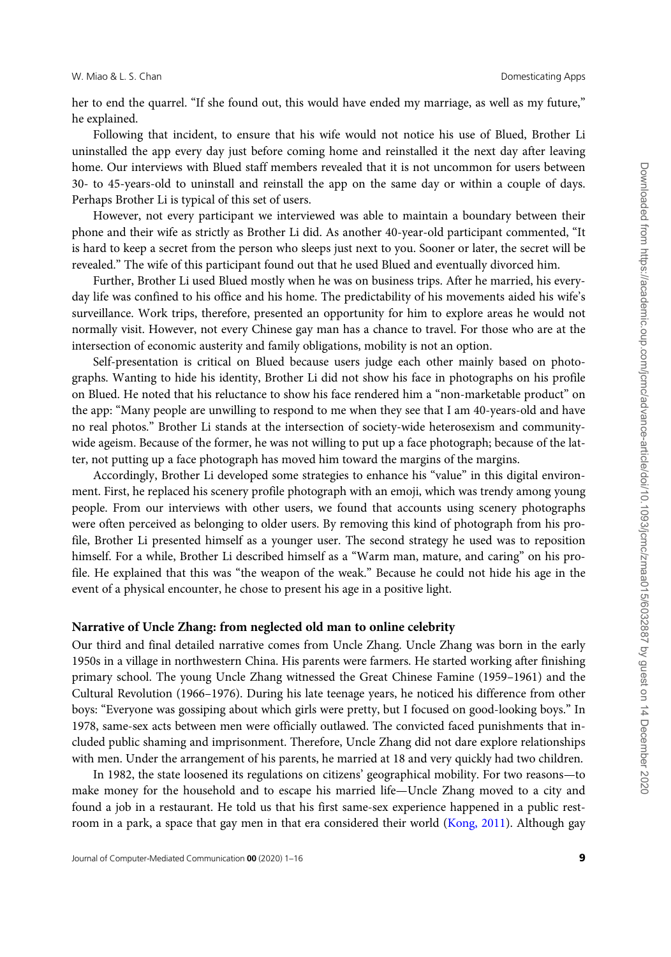her to end the quarrel. "If she found out, this would have ended my marriage, as well as my future," he explained.

Following that incident, to ensure that his wife would not notice his use of Blued, Brother Li uninstalled the app every day just before coming home and reinstalled it the next day after leaving home. Our interviews with Blued staff members revealed that it is not uncommon for users between 30- to 45-years-old to uninstall and reinstall the app on the same day or within a couple of days. Perhaps Brother Li is typical of this set of users.

However, not every participant we interviewed was able to maintain a boundary between their phone and their wife as strictly as Brother Li did. As another 40-year-old participant commented, "It is hard to keep a secret from the person who sleeps just next to you. Sooner or later, the secret will be revealed." The wife of this participant found out that he used Blued and eventually divorced him.

Further, Brother Li used Blued mostly when he was on business trips. After he married, his everyday life was confined to his office and his home. The predictability of his movements aided his wife's surveillance. Work trips, therefore, presented an opportunity for him to explore areas he would not normally visit. However, not every Chinese gay man has a chance to travel. For those who are at the intersection of economic austerity and family obligations, mobility is not an option.

Self-presentation is critical on Blued because users judge each other mainly based on photographs. Wanting to hide his identity, Brother Li did not show his face in photographs on his profile on Blued. He noted that his reluctance to show his face rendered him a "non-marketable product" on the app: "Many people are unwilling to respond to me when they see that I am 40-years-old and have no real photos." Brother Li stands at the intersection of society-wide heterosexism and communitywide ageism. Because of the former, he was not willing to put up a face photograph; because of the latter, not putting up a face photograph has moved him toward the margins of the margins.

Accordingly, Brother Li developed some strategies to enhance his "value" in this digital environment. First, he replaced his scenery profile photograph with an emoji, which was trendy among young people. From our interviews with other users, we found that accounts using scenery photographs were often perceived as belonging to older users. By removing this kind of photograph from his profile, Brother Li presented himself as a younger user. The second strategy he used was to reposition himself. For a while, Brother Li described himself as a "Warm man, mature, and caring" on his profile. He explained that this was "the weapon of the weak." Because he could not hide his age in the event of a physical encounter, he chose to present his age in a positive light.

### Narrative of Uncle Zhang: from neglected old man to online celebrity

Our third and final detailed narrative comes from Uncle Zhang. Uncle Zhang was born in the early 1950s in a village in northwestern China. His parents were farmers. He started working after finishing primary school. The young Uncle Zhang witnessed the Great Chinese Famine (1959–1961) and the Cultural Revolution (1966–1976). During his late teenage years, he noticed his difference from other boys: "Everyone was gossiping about which girls were pretty, but I focused on good-looking boys." In 1978, same-sex acts between men were officially outlawed. The convicted faced punishments that included public shaming and imprisonment. Therefore, Uncle Zhang did not dare explore relationships with men. Under the arrangement of his parents, he married at 18 and very quickly had two children.

In 1982, the state loosened its regulations on citizens' geographical mobility. For two reasons—to make money for the household and to escape his married life—Uncle Zhang moved to a city and found a job in a restaurant. He told us that his first same-sex experience happened in a public restroom in a park, a space that gay men in that era considered their world ([Kong, 2011\)](#page-14-0). Although gay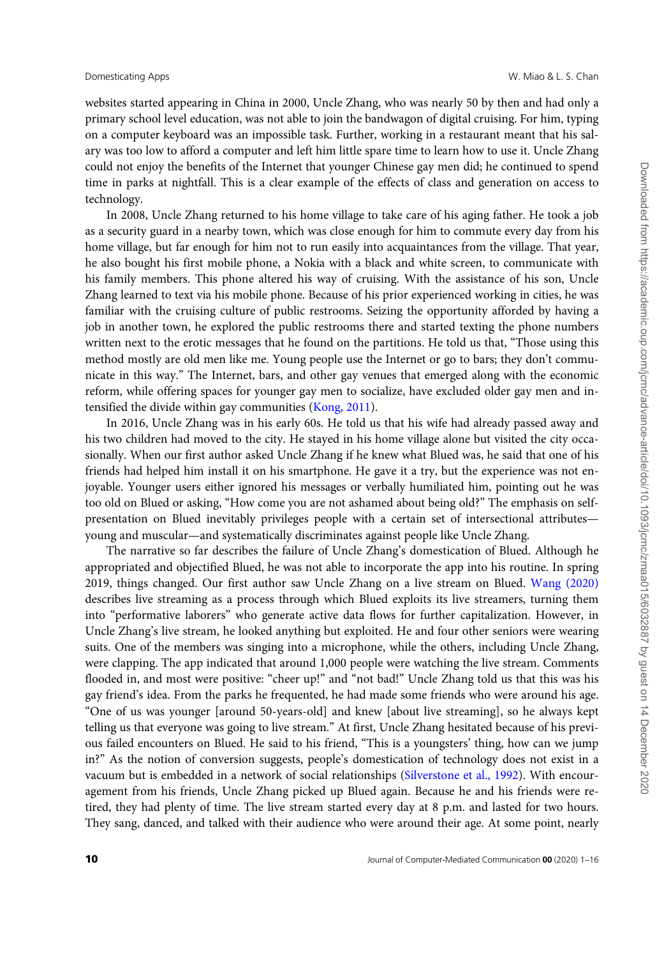websites started appearing in China in 2000, Uncle Zhang, who was nearly 50 by then and had only a primary school level education, was not able to join the bandwagon of digital cruising. For him, typing on a computer keyboard was an impossible task. Further, working in a restaurant meant that his salary was too low to afford a computer and left him little spare time to learn how to use it. Uncle Zhang could not enjoy the benefits of the Internet that younger Chinese gay men did; he continued to spend time in parks at nightfall. This is a clear example of the effects of class and generation on access to technology.

In 2008, Uncle Zhang returned to his home village to take care of his aging father. He took a job as a security guard in a nearby town, which was close enough for him to commute every day from his home village, but far enough for him not to run easily into acquaintances from the village. That year, he also bought his first mobile phone, a Nokia with a black and white screen, to communicate with his family members. This phone altered his way of cruising. With the assistance of his son, Uncle Zhang learned to text via his mobile phone. Because of his prior experienced working in cities, he was familiar with the cruising culture of public restrooms. Seizing the opportunity afforded by having a job in another town, he explored the public restrooms there and started texting the phone numbers written next to the erotic messages that he found on the partitions. He told us that, "Those using this method mostly are old men like me. Young people use the Internet or go to bars; they don't communicate in this way." The Internet, bars, and other gay venues that emerged along with the economic reform, while offering spaces for younger gay men to socialize, have excluded older gay men and intensified the divide within gay communities ([Kong, 2011\)](#page-14-0).

In 2016, Uncle Zhang was in his early 60s. He told us that his wife had already passed away and his two children had moved to the city. He stayed in his home village alone but visited the city occasionally. When our first author asked Uncle Zhang if he knew what Blued was, he said that one of his friends had helped him install it on his smartphone. He gave it a try, but the experience was not enjoyable. Younger users either ignored his messages or verbally humiliated him, pointing out he was too old on Blued or asking, "How come you are not ashamed about being old?" The emphasis on selfpresentation on Blued inevitably privileges people with a certain set of intersectional attributes young and muscular—and systematically discriminates against people like Uncle Zhang.

The narrative so far describes the failure of Uncle Zhang's domestication of Blued. Although he appropriated and objectified Blued, he was not able to incorporate the app into his routine. In spring 2019, things changed. Our first author saw Uncle Zhang on a live stream on Blued. [Wang \(2020\)](#page-15-0) describes live streaming as a process through which Blued exploits its live streamers, turning them into "performative laborers" who generate active data flows for further capitalization. However, in Uncle Zhang's live stream, he looked anything but exploited. He and four other seniors were wearing suits. One of the members was singing into a microphone, while the others, including Uncle Zhang, were clapping. The app indicated that around 1,000 people were watching the live stream. Comments flooded in, and most were positive: "cheer up!" and "not bad!" Uncle Zhang told us that this was his gay friend's idea. From the parks he frequented, he had made some friends who were around his age. "One of us was younger [around 50-years-old] and knew [about live streaming], so he always kept telling us that everyone was going to live stream." At first, Uncle Zhang hesitated because of his previous failed encounters on Blued. He said to his friend, "This is a youngsters' thing, how can we jump in?" As the notion of conversion suggests, people's domestication of technology does not exist in a vacuum but is embedded in a network of social relationships [\(Silverstone et al., 1992](#page-14-0)). With encouragement from his friends, Uncle Zhang picked up Blued again. Because he and his friends were retired, they had plenty of time. The live stream started every day at 8 p.m. and lasted for two hours. They sang, danced, and talked with their audience who were around their age. At some point, nearly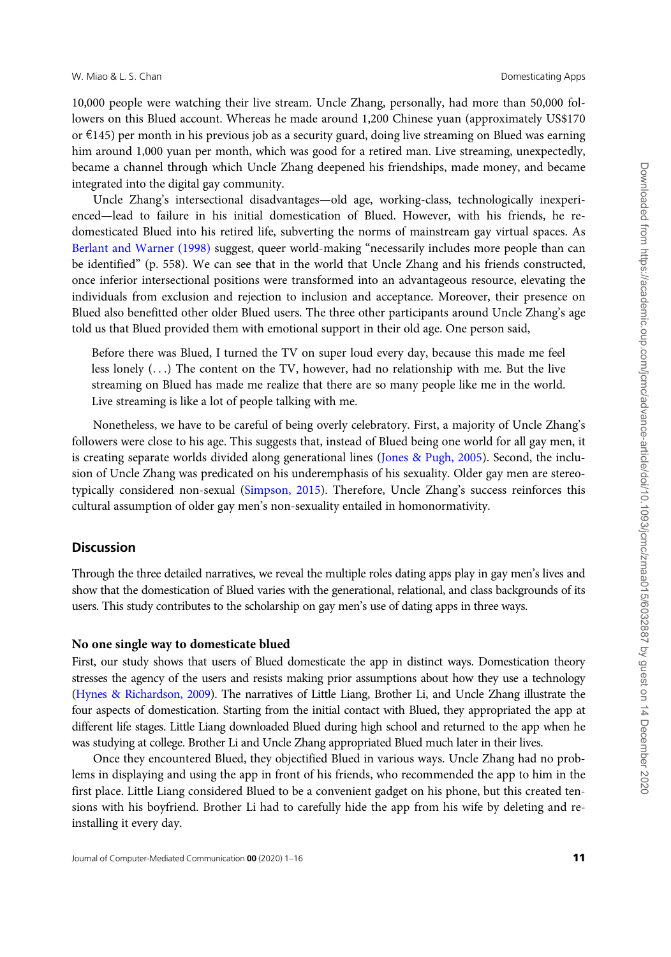10,000 people were watching their live stream. Uncle Zhang, personally, had more than 50,000 followers on this Blued account. Whereas he made around 1,200 Chinese yuan (approximately US\$170 or  $\epsilon$ 145) per month in his previous job as a security guard, doing live streaming on Blued was earning him around 1,000 yuan per month, which was good for a retired man. Live streaming, unexpectedly, became a channel through which Uncle Zhang deepened his friendships, made money, and became integrated into the digital gay community.

Uncle Zhang's intersectional disadvantages—old age, working-class, technologically inexperienced—lead to failure in his initial domestication of Blued. However, with his friends, he redomesticated Blued into his retired life, subverting the norms of mainstream gay virtual spaces. As [Berlant and Warner \(1998\)](#page-13-0) suggest, queer world-making "necessarily includes more people than can be identified" (p. 558). We can see that in the world that Uncle Zhang and his friends constructed, once inferior intersectional positions were transformed into an advantageous resource, elevating the individuals from exclusion and rejection to inclusion and acceptance. Moreover, their presence on Blued also benefitted other older Blued users. The three other participants around Uncle Zhang's age told us that Blued provided them with emotional support in their old age. One person said,

Before there was Blued, I turned the TV on super loud every day, because this made me feel less lonely (...) The content on the TV, however, had no relationship with me. But the live streaming on Blued has made me realize that there are so many people like me in the world. Live streaming is like a lot of people talking with me.

Nonetheless, we have to be careful of being overly celebratory. First, a majority of Uncle Zhang's followers were close to his age. This suggests that, instead of Blued being one world for all gay men, it is creating separate worlds divided along generational lines ([Jones](#page-14-0) & [Pugh, 2005\)](#page-14-0). Second, the inclusion of Uncle Zhang was predicated on his underemphasis of his sexuality. Older gay men are stereotypically considered non-sexual ([Simpson, 2015](#page-15-0)). Therefore, Uncle Zhang's success reinforces this cultural assumption of older gay men's non-sexuality entailed in homonormativity.

### **Discussion**

Through the three detailed narratives, we reveal the multiple roles dating apps play in gay men's lives and show that the domestication of Blued varies with the generational, relational, and class backgrounds of its users. This study contributes to the scholarship on gay men's use of dating apps in three ways.

# No one single way to domesticate blued

First, our study shows that users of Blued domesticate the app in distinct ways. Domestication theory stresses the agency of the users and resists making prior assumptions about how they use a technology [\(Hynes & Richardson, 2009](#page-14-0)). The narratives of Little Liang, Brother Li, and Uncle Zhang illustrate the four aspects of domestication. Starting from the initial contact with Blued, they appropriated the app at different life stages. Little Liang downloaded Blued during high school and returned to the app when he was studying at college. Brother Li and Uncle Zhang appropriated Blued much later in their lives.

Once they encountered Blued, they objectified Blued in various ways. Uncle Zhang had no problems in displaying and using the app in front of his friends, who recommended the app to him in the first place. Little Liang considered Blued to be a convenient gadget on his phone, but this created tensions with his boyfriend. Brother Li had to carefully hide the app from his wife by deleting and reinstalling it every day.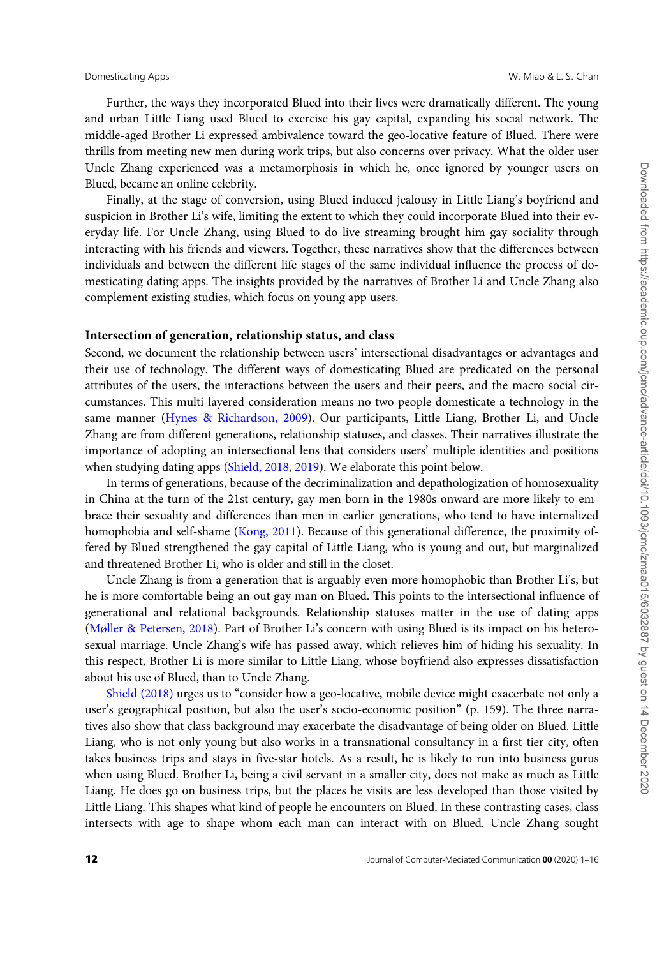Further, the ways they incorporated Blued into their lives were dramatically different. The young and urban Little Liang used Blued to exercise his gay capital, expanding his social network. The middle-aged Brother Li expressed ambivalence toward the geo-locative feature of Blued. There were thrills from meeting new men during work trips, but also concerns over privacy. What the older user Uncle Zhang experienced was a metamorphosis in which he, once ignored by younger users on Blued, became an online celebrity.

Finally, at the stage of conversion, using Blued induced jealousy in Little Liang's boyfriend and suspicion in Brother Li's wife, limiting the extent to which they could incorporate Blued into their everyday life. For Uncle Zhang, using Blued to do live streaming brought him gay sociality through interacting with his friends and viewers. Together, these narratives show that the differences between individuals and between the different life stages of the same individual influence the process of domesticating dating apps. The insights provided by the narratives of Brother Li and Uncle Zhang also complement existing studies, which focus on young app users.

### Intersection of generation, relationship status, and class

Second, we document the relationship between users' intersectional disadvantages or advantages and their use of technology. The different ways of domesticating Blued are predicated on the personal attributes of the users, the interactions between the users and their peers, and the macro social circumstances. This multi-layered consideration means no two people domesticate a technology in the same manner [\(Hynes & Richardson, 2009](#page-14-0)). Our participants, Little Liang, Brother Li, and Uncle Zhang are from different generations, relationship statuses, and classes. Their narratives illustrate the importance of adopting an intersectional lens that considers users' multiple identities and positions when studying dating apps [\(Shield, 2018](#page-14-0), [2019](#page-14-0)). We elaborate this point below.

In terms of generations, because of the decriminalization and depathologization of homosexuality in China at the turn of the 21st century, gay men born in the 1980s onward are more likely to embrace their sexuality and differences than men in earlier generations, who tend to have internalized homophobia and self-shame [\(Kong, 2011](#page-14-0)). Because of this generational difference, the proximity offered by Blued strengthened the gay capital of Little Liang, who is young and out, but marginalized and threatened Brother Li, who is older and still in the closet.

Uncle Zhang is from a generation that is arguably even more homophobic than Brother Li's, but he is more comfortable being an out gay man on Blued. This points to the intersectional influence of generational and relational backgrounds. Relationship statuses matter in the use of dating apps [\(Møller & Petersen, 2018\)](#page-14-0). Part of Brother Li's concern with using Blued is its impact on his heterosexual marriage. Uncle Zhang's wife has passed away, which relieves him of hiding his sexuality. In this respect, Brother Li is more similar to Little Liang, whose boyfriend also expresses dissatisfaction about his use of Blued, than to Uncle Zhang.

[Shield \(2018\)](#page-14-0) urges us to "consider how a geo-locative, mobile device might exacerbate not only a user's geographical position, but also the user's socio-economic position" (p. 159). The three narratives also show that class background may exacerbate the disadvantage of being older on Blued. Little Liang, who is not only young but also works in a transnational consultancy in a first-tier city, often takes business trips and stays in five-star hotels. As a result, he is likely to run into business gurus when using Blued. Brother Li, being a civil servant in a smaller city, does not make as much as Little Liang. He does go on business trips, but the places he visits are less developed than those visited by Little Liang. This shapes what kind of people he encounters on Blued. In these contrasting cases, class intersects with age to shape whom each man can interact with on Blued. Uncle Zhang sought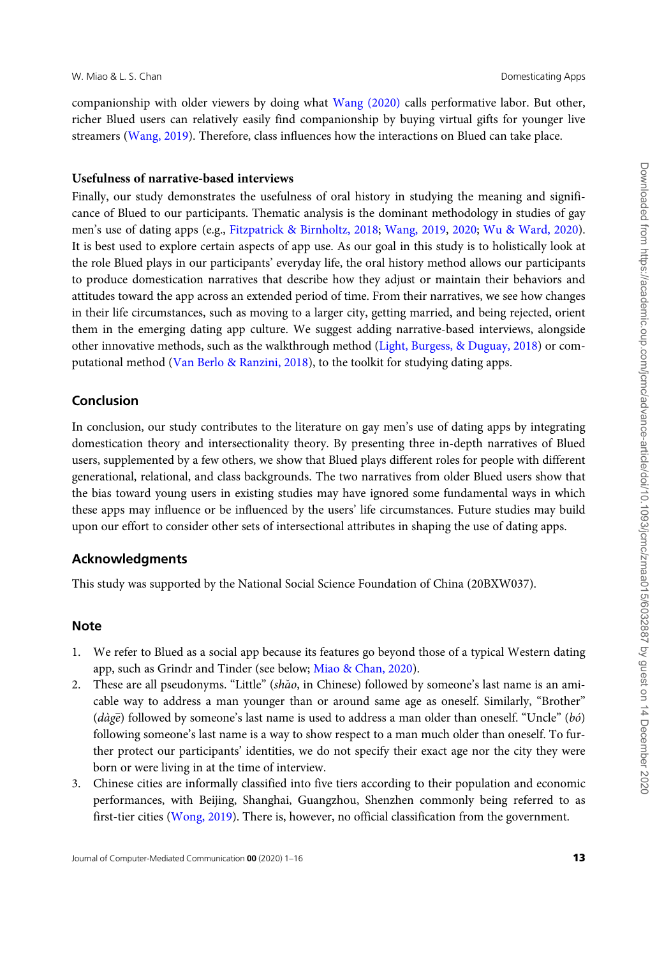companionship with older viewers by doing what [Wang \(2020\)](#page-15-0) calls performative labor. But other, richer Blued users can relatively easily find companionship by buying virtual gifts for younger live streamers [\(Wang, 2019\)](#page-15-0). Therefore, class influences how the interactions on Blued can take place.

### Usefulness of narrative-based interviews

Finally, our study demonstrates the usefulness of oral history in studying the meaning and significance of Blued to our participants. Thematic analysis is the dominant methodology in studies of gay men's use of dating apps (e.g., [Fitzpatrick](#page-13-0) [& Birnholtz, 2018;](#page-13-0) [Wang, 2019,](#page-15-0) [2020;](#page-15-0) [Wu & Ward, 2020](#page-15-0)). It is best used to explore certain aspects of app use. As our goal in this study is to holistically look at the role Blued plays in our participants' everyday life, the oral history method allows our participants to produce domestication narratives that describe how they adjust or maintain their behaviors and attitudes toward the app across an extended period of time. From their narratives, we see how changes in their life circumstances, such as moving to a larger city, getting married, and being rejected, orient them in the emerging dating app culture. We suggest adding narrative-based interviews, alongside other innovative methods, such as the walkthrough method [\(Light, Burgess,](#page-14-0) & [Duguay, 2018\)](#page-14-0) or computational method [\(Van Berlo & Ranzini, 2018\)](#page-15-0), to the toolkit for studying dating apps.

# Conclusion

In conclusion, our study contributes to the literature on gay men's use of dating apps by integrating domestication theory and intersectionality theory. By presenting three in-depth narratives of Blued users, supplemented by a few others, we show that Blued plays different roles for people with different generational, relational, and class backgrounds. The two narratives from older Blued users show that the bias toward young users in existing studies may have ignored some fundamental ways in which these apps may influence or be influenced by the users' life circumstances. Future studies may build upon our effort to consider other sets of intersectional attributes in shaping the use of dating apps.

# Acknowledgments

This study was supported by the National Social Science Foundation of China (20BXW037).

# **Note**

- 1. We refer to Blued as a social app because its features go beyond those of a typical Western dating app, such as Grindr and Tinder (see below; [Miao](#page-14-0) & [Chan, 2020](#page-14-0)).
- 2. These are all pseudonyms. "Little" ( $sh\tilde{a}o$ , in Chinese) followed by someone's last name is an amicable way to address a man younger than or around same age as oneself. Similarly, "Brother" ( $d\dot{a}g\bar{e}$ ) followed by someone's last name is used to address a man older than oneself. "Uncle" ( $b\acute{o}$ ) following someone's last name is a way to show respect to a man much older than oneself. To further protect our participants' identities, we do not specify their exact age nor the city they were born or were living in at the time of interview.
- 3. Chinese cities are informally classified into five tiers according to their population and economic performances, with Beijing, Shanghai, Guangzhou, Shenzhen commonly being referred to as first-tier cities ([Wong, 2019\)](#page-15-0). There is, however, no official classification from the government.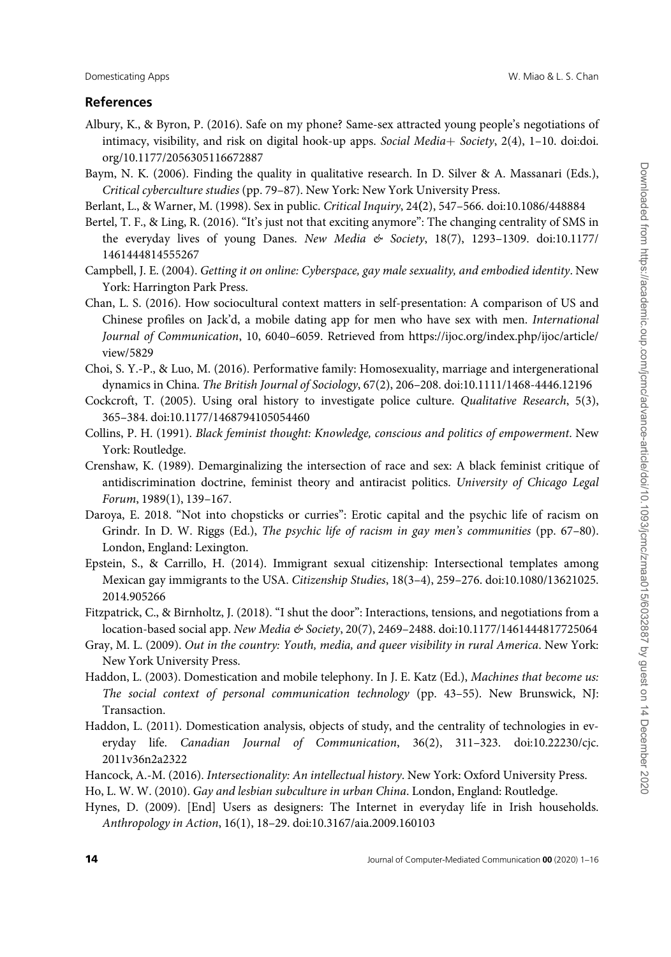# <span id="page-13-0"></span>References

- Albury, K., & Byron, P. (2016). Safe on my phone? Same-sex attracted young people's negotiations of intimacy, visibility, and risk on digital hook-up apps. Social Media+ Society, 2(4), 1-10. doi[:doi.](https://doi.org/10.1177/2056305116672887) [org/10.1177/2056305116672887](https://doi.org/10.1177/2056305116672887)
- Baym, N. K. (2006). Finding the quality in qualitative research. In D. Silver & A. Massanari (Eds.), Critical cyberculture studies (pp. 79–87). New York: New York University Press.
- Berlant, L., & Warner, M. (1998). Sex in public. Critical Inquiry, 24(2), 547–566. doi:[10.1086/448884](https://doi.org/10.1086/448884)
- Bertel, T. F., & Ling, R. (2016). "It's just not that exciting anymore": The changing centrality of SMS in the everyday lives of young Danes. New Media  $& Society, 18(7), 1293-1309.$  doi:[10.1177/](https://doi.org/10.1177/1461444814555267) [1461444814555267](https://doi.org/10.1177/1461444814555267)
- Campbell, J. E. (2004). Getting it on online: Cyberspace, gay male sexuality, and embodied identity. New York: Harrington Park Press.
- Chan, L. S. (2016). How sociocultural context matters in self-presentation: A comparison of US and Chinese profiles on Jack'd, a mobile dating app for men who have sex with men. International Journal of Communication, 10, 6040–6059. Retrieved from [https://ijoc.org/index.php/ijoc/article/](https://ijoc.org/index.php/ijoc/article/view/5829) [view/5829](https://ijoc.org/index.php/ijoc/article/view/5829)
- Choi, S. Y.-P., & Luo, M. (2016). Performative family: Homosexuality, marriage and intergenerational dynamics in China. The British Journal of Sociology, 67(2), 206–208. doi[:10.1111/1468-4446.12196](https://doi.org/10.1111/1468-4446.12196)
- Cockcroft, T. (2005). Using oral history to investigate police culture. Qualitative Research, 5(3), 365–384. doi:[10.1177/1468794105054460](https://doi.org/10.1177/1468794105054460)
- Collins, P. H. (1991). Black feminist thought: Knowledge, conscious and politics of empowerment. New York: Routledge.
- Crenshaw, K. (1989). Demarginalizing the intersection of race and sex: A black feminist critique of antidiscrimination doctrine, feminist theory and antiracist politics. University of Chicago Legal Forum, 1989(1), 139–167.
- Daroya, E. 2018. "Not into chopsticks or curries": Erotic capital and the psychic life of racism on Grindr. In D. W. Riggs (Ed.), The psychic life of racism in gay men's communities (pp. 67-80). London, England: Lexington.
- Epstein, S., & Carrillo, H. (2014). Immigrant sexual citizenship: Intersectional templates among Mexican gay immigrants to the USA. Citizenship Studies, 18(3–4), 259–276. doi:[10.1080/13621025.](https://doi.org/10.1080/13621025.2014.905266) [2014.905266](https://doi.org/10.1080/13621025.2014.905266)
- Fitzpatrick, C., & Birnholtz, J. (2018). "I shut the door": Interactions, tensions, and negotiations from a location-based social app. New Media & Society, 20(7), 2469–2488. doi[:10.1177/1461444817725064](https://doi.org/10.1177/1461444817725064)
- Gray, M. L. (2009). Out in the country: Youth, media, and queer visibility in rural America. New York: New York University Press.
- Haddon, L. (2003). Domestication and mobile telephony. In J. E. Katz (Ed.), Machines that become us: The social context of personal communication technology (pp. 43–55). New Brunswick, NJ: Transaction.
- Haddon, L. (2011). Domestication analysis, objects of study, and the centrality of technologies in everyday life. Canadian Journal of Communication, 36(2), 311–323. doi[:10.22230/cjc.](https://doi.org/10.22230/cjc.2011v36n2a2322) [2011v36n2a2322](https://doi.org/10.22230/cjc.2011v36n2a2322)
- Hancock, A.-M. (2016). Intersectionality: An intellectual history. New York: Oxford University Press.
- Ho, L. W. W. (2010). Gay and lesbian subculture in urban China. London, England: Routledge.
- Hynes, D. (2009). [End] Users as designers: The Internet in everyday life in Irish households. Anthropology in Action, 16(1), 18–29. doi:[10.3167/aia.2009.160103](https://doi.org/10.3167/aia.2009.160103)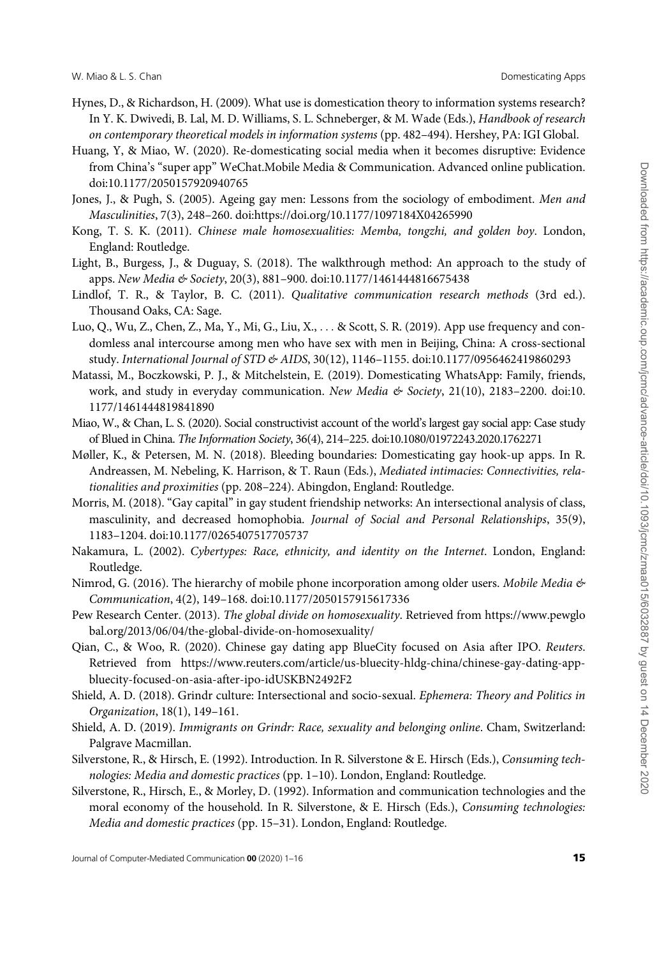- <span id="page-14-0"></span>Hynes, D., & Richardson, H. (2009). What use is domestication theory to information systems research? In Y. K. Dwivedi, B. Lal, M. D. Williams, S. L. Schneberger, & M. Wade (Eds.), Handbook of research on contemporary theoretical models in information systems (pp. 482–494). Hershey, PA: IGI Global.
- Huang, Y, & Miao, W. (2020). Re-domesticating social media when it becomes disruptive: Evidence from China's "super app" WeChat.Mobile Media & Communication. Advanced online publication. doi[:10.1177/2050157920940765](https://doi.org/10.1177/2050157920940765)
- Jones, J., & Pugh, S. (2005). Ageing gay men: Lessons from the sociology of embodiment. Men and Masculinities, 7(3), 248–260. doi[:https://doi.org/10.1177/1097184X04265990](https://doi.org/10.1177/1097184X04265990)
- Kong, T. S. K. (2011). Chinese male homosexualities: Memba, tongzhi, and golden boy. London, England: Routledge.
- Light, B., Burgess, J., & Duguay, S. (2018). The walkthrough method: An approach to the study of apps. New Media & Society, 20(3), 881-900. doi:[10.1177/1461444816675438](https://doi.org/10.1177/1461444816675438)
- Lindlof, T. R., & Taylor, B. C. (2011). Qualitative communication research methods (3rd ed.). Thousand Oaks, CA: Sage.
- Luo, Q., Wu, Z., Chen, Z., Ma, Y., Mi, G., Liu, X., ... & Scott, S. R. (2019). App use frequency and condomless anal intercourse among men who have sex with men in Beijing, China: A cross-sectional study. International Journal of STD & AIDS, 30(12), 1146–1155. doi[:10.1177/0956462419860293](https://doi.org/10.1177/0956462419860293)
- Matassi, M., Boczkowski, P. J., & Mitchelstein, E. (2019). Domesticating WhatsApp: Family, friends, work, and study in everyday communication. New Media & Society, 21(10), 2183-2200. doi[:10.](https://doi.org/10.1177/1461444819841890) [1177/1461444819841890](https://doi.org/10.1177/1461444819841890)
- Miao, W., & Chan, L. S. (2020). Social constructivist account of the world's largest gay social app: Case study of Blued in China. The Information Society, 36(4), 214–225. doi[:10.1080/01972243.2020.1762271](https://doi.org/10.1080/01972243.2020.1762271)
- Møller, K., & Petersen, M. N. (2018). Bleeding boundaries: Domesticating gay hook-up apps. In R. Andreassen, M. Nebeling, K. Harrison, & T. Raun (Eds.), Mediated intimacies: Connectivities, relationalities and proximities (pp. 208–224). Abingdon, England: Routledge.
- Morris, M. (2018). "Gay capital" in gay student friendship networks: An intersectional analysis of class, masculinity, and decreased homophobia. Journal of Social and Personal Relationships, 35(9), 1183–1204. doi:[10.1177/0265407517705737](https://doi.org/10.1177/0265407517705737)
- Nakamura, L. (2002). Cybertypes: Race, ethnicity, and identity on the Internet. London, England: Routledge.
- Nimrod, G. (2016). The hierarchy of mobile phone incorporation among older users. Mobile Media  $\mathfrak{G}$ Communication, 4(2), 149–168. doi:[10.1177/2050157915617336](https://doi.org/10.1177/2050157915617336)
- Pew Research Center. (2013). The global divide on homosexuality. Retrieved from [https://www.pewglo](https://www.pewglobal.org/2013/06/04/the-global-divide-on-homosexuality/) [bal.org/2013/06/04/the-global-divide-on-homosexuality/](https://www.pewglobal.org/2013/06/04/the-global-divide-on-homosexuality/)
- Qian, C., & Woo, R. (2020). Chinese gay dating app BlueCity focused on Asia after IPO. Reuters. Retrieved from [https://www.reuters.com/article/us-bluecity-hldg-china/chinese-gay-dating-app](https://www.reuters.com/article/us-bluecity-hldg-china/chinese-gay-dating-app-bluecity-focused-on-asia-after-ipo-idUSKBN2492F2)[bluecity-focused-on-asia-after-ipo-idUSKBN2492F2](https://www.reuters.com/article/us-bluecity-hldg-china/chinese-gay-dating-app-bluecity-focused-on-asia-after-ipo-idUSKBN2492F2)
- Shield, A. D. (2018). Grindr culture: Intersectional and socio-sexual. Ephemera: Theory and Politics in Organization, 18(1), 149–161.
- Shield, A. D. (2019). Immigrants on Grindr: Race, sexuality and belonging online. Cham, Switzerland: Palgrave Macmillan.
- Silverstone, R., & Hirsch, E. (1992). Introduction. In R. Silverstone & E. Hirsch (Eds.), Consuming technologies: Media and domestic practices (pp. 1–10). London, England: Routledge.
- Silverstone, R., Hirsch, E., & Morley, D. (1992). Information and communication technologies and the moral economy of the household. In R. Silverstone, & E. Hirsch (Eds.), Consuming technologies: Media and domestic practices (pp. 15–31). London, England: Routledge.